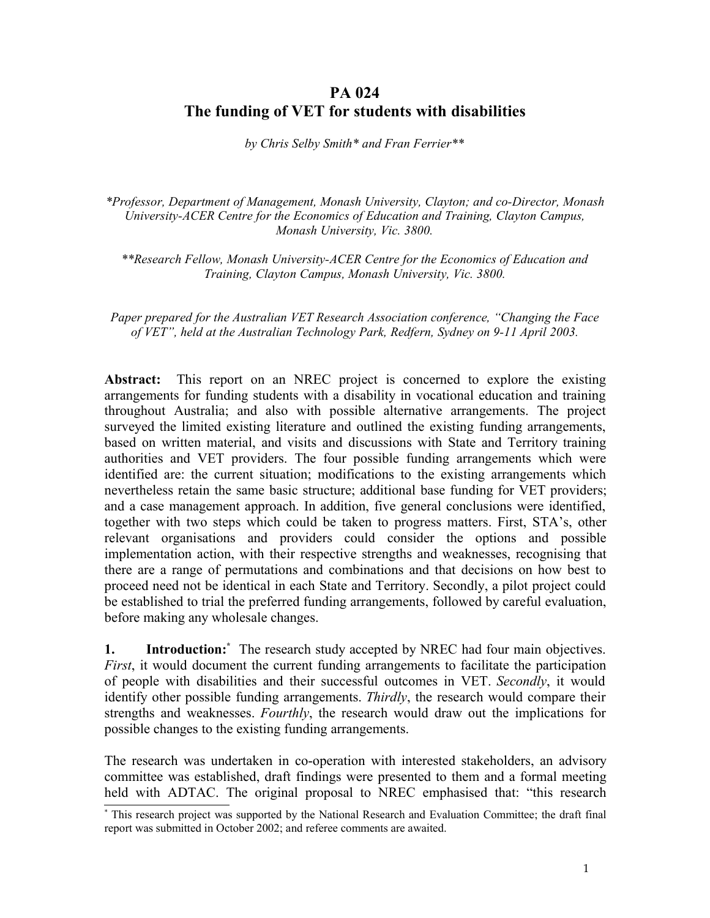# **PA 024 The funding of VET for students with disabilities**

*by Chris Selby Smith\* and Fran Ferrier\*\**

*\*Professor, Department of Management, Monash University, Clayton; and co-Director, Monash University-ACER Centre for the Economics of Education and Training, Clayton Campus, Monash University, Vic. 3800.*

*\*\*Research Fellow, Monash University-ACER Centre for the Economics of Education and Training, Clayton Campus, Monash University, Vic. 3800.*

*Paper prepared for the Australian VET Research Association conference, "Changing the Face of VET", held at the Australian Technology Park, Redfern, Sydney on 9-11 April 2003.*

**Abstract:** This report on an NREC project is concerned to explore the existing arrangements for funding students with a disability in vocational education and training throughout Australia; and also with possible alternative arrangements. The project surveyed the limited existing literature and outlined the existing funding arrangements, based on written material, and visits and discussions with State and Territory training authorities and VET providers. The four possible funding arrangements which were identified are: the current situation; modifications to the existing arrangements which nevertheless retain the same basic structure; additional base funding for VET providers; and a case management approach. In addition, five general conclusions were identified, together with two steps which could be taken to progress matters. First, STA's, other relevant organisations and providers could consider the options and possible implementation action, with their respective strengths and weaknesses, recognising that there are a range of permutations and combinations and that decisions on how best to proceed need not be identical in each State and Territory. Secondly, a pilot project could be established to trial the preferred funding arrangements, followed by careful evaluation, before making any wholesale changes.

**1. Introduction:\*** The research study accepted by NREC had four main objectives. *First*, it would document the current funding arrangements to facilitate the participation of people with disabilities and their successful outcomes in VET. *Secondly*, it would identify other possible funding arrangements. *Thirdly*, the research would compare their strengths and weaknesses. *Fourthly*, the research would draw out the implications for possible changes to the existing funding arrangements.

The research was undertaken in co-operation with interested stakeholders, an advisory committee was established, draft findings were presented to them and a formal meeting held with ADTAC. The original proposal to NREC emphasised that: "this research

<sup>\*</sup> This research project was supported by the National Research and Evaluation Committee; the draft final report was submitted in October 2002; and referee comments are awaited.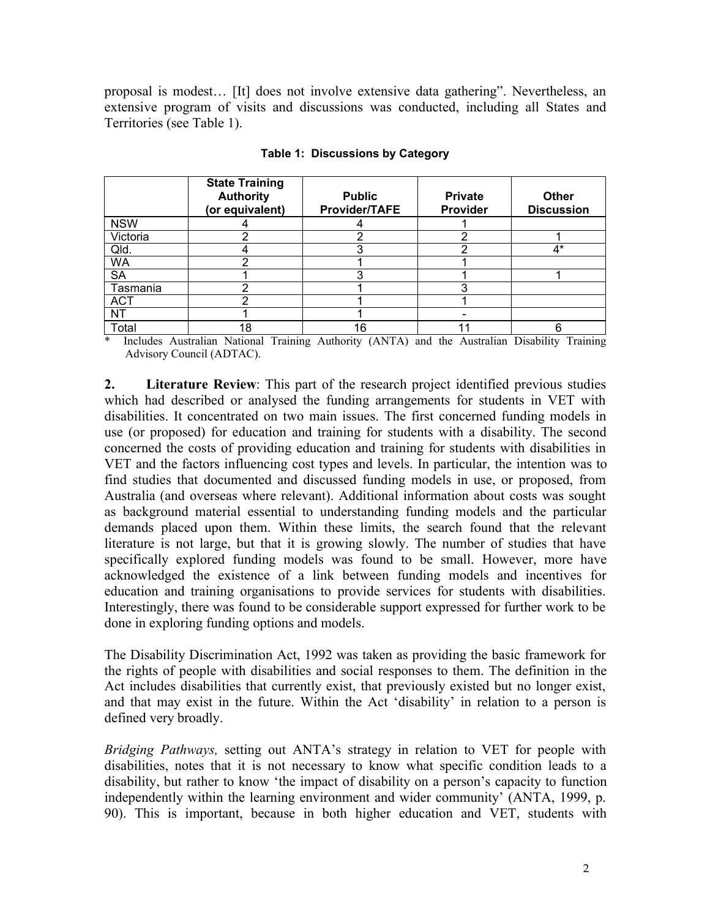proposal is modest… [It] does not involve extensive data gathering". Nevertheless, an extensive program of visits and discussions was conducted, including all States and Territories (see Table 1).

|            | <b>State Training</b><br><b>Authority</b><br>(or equivalent) | <b>Public</b><br>Provider/TAFE | <b>Private</b><br>Provider | <b>Other</b><br><b>Discussion</b> |
|------------|--------------------------------------------------------------|--------------------------------|----------------------------|-----------------------------------|
| <b>NSW</b> |                                                              |                                |                            |                                   |
| Victoria   |                                                              |                                |                            |                                   |
| Qld.       |                                                              |                                |                            | 4*                                |
| <b>WA</b>  |                                                              |                                |                            |                                   |
| <b>SA</b>  |                                                              |                                |                            |                                   |
| Tasmania   |                                                              |                                |                            |                                   |
| <b>ACT</b> |                                                              |                                |                            |                                   |
| <b>NT</b>  |                                                              |                                |                            |                                   |
| Total      | 18                                                           | 16                             |                            |                                   |

#### **Table 1: Discussions by Category**

\* Includes Australian National Training Authority (ANTA) and the Australian Disability Training Advisory Council (ADTAC).

**2. Literature Review**: This part of the research project identified previous studies which had described or analysed the funding arrangements for students in VET with disabilities. It concentrated on two main issues. The first concerned funding models in use (or proposed) for education and training for students with a disability. The second concerned the costs of providing education and training for students with disabilities in VET and the factors influencing cost types and levels. In particular, the intention was to find studies that documented and discussed funding models in use, or proposed, from Australia (and overseas where relevant). Additional information about costs was sought as background material essential to understanding funding models and the particular demands placed upon them. Within these limits, the search found that the relevant literature is not large, but that it is growing slowly. The number of studies that have specifically explored funding models was found to be small. However, more have acknowledged the existence of a link between funding models and incentives for education and training organisations to provide services for students with disabilities. Interestingly, there was found to be considerable support expressed for further work to be done in exploring funding options and models.

The Disability Discrimination Act, 1992 was taken as providing the basic framework for the rights of people with disabilities and social responses to them. The definition in the Act includes disabilities that currently exist, that previously existed but no longer exist, and that may exist in the future. Within the Act 'disability' in relation to a person is defined very broadly.

*Bridging Pathways,* setting out ANTA's strategy in relation to VET for people with disabilities, notes that it is not necessary to know what specific condition leads to a disability, but rather to know 'the impact of disability on a person's capacity to function independently within the learning environment and wider community' (ANTA, 1999, p. 90). This is important, because in both higher education and VET, students with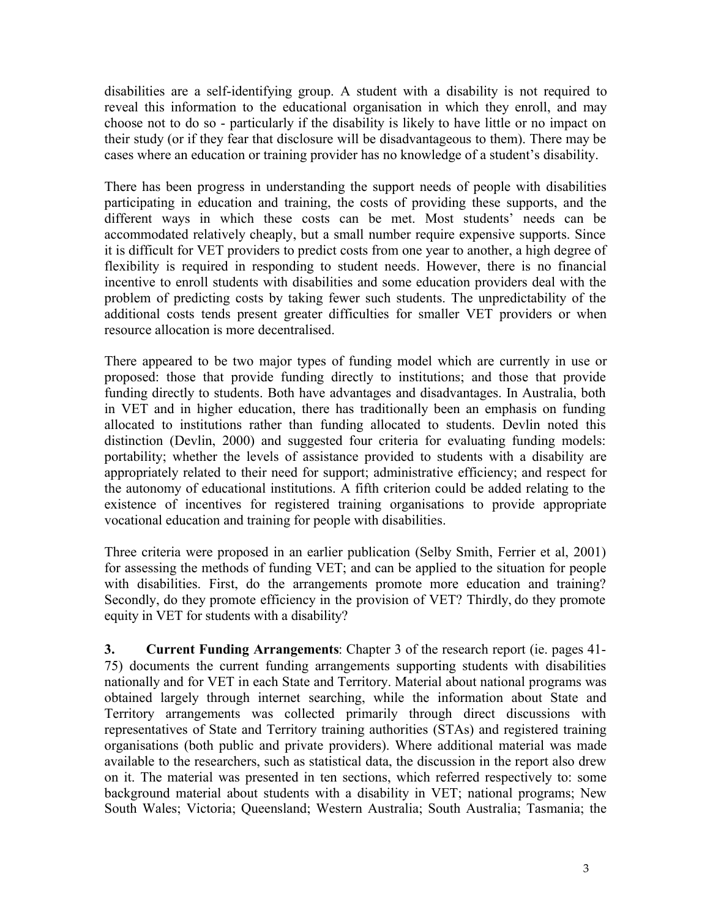disabilities are a self-identifying group. A student with a disability is not required to reveal this information to the educational organisation in which they enroll, and may choose not to do so - particularly if the disability is likely to have little or no impact on their study (or if they fear that disclosure will be disadvantageous to them). There may be cases where an education or training provider has no knowledge of a student's disability.

There has been progress in understanding the support needs of people with disabilities participating in education and training, the costs of providing these supports, and the different ways in which these costs can be met. Most students' needs can be accommodated relatively cheaply, but a small number require expensive supports. Since it is difficult for VET providers to predict costs from one year to another, a high degree of flexibility is required in responding to student needs. However, there is no financial incentive to enroll students with disabilities and some education providers deal with the problem of predicting costs by taking fewer such students. The unpredictability of the additional costs tends present greater difficulties for smaller VET providers or when resource allocation is more decentralised.

There appeared to be two major types of funding model which are currently in use or proposed: those that provide funding directly to institutions; and those that provide funding directly to students. Both have advantages and disadvantages. In Australia, both in VET and in higher education, there has traditionally been an emphasis on funding allocated to institutions rather than funding allocated to students. Devlin noted this distinction (Devlin, 2000) and suggested four criteria for evaluating funding models: portability; whether the levels of assistance provided to students with a disability are appropriately related to their need for support; administrative efficiency; and respect for the autonomy of educational institutions. A fifth criterion could be added relating to the existence of incentives for registered training organisations to provide appropriate vocational education and training for people with disabilities.

Three criteria were proposed in an earlier publication (Selby Smith, Ferrier et al, 2001) for assessing the methods of funding VET; and can be applied to the situation for people with disabilities. First, do the arrangements promote more education and training? Secondly, do they promote efficiency in the provision of VET? Thirdly, do they promote equity in VET for students with a disability?

**3. Current Funding Arrangements**: Chapter 3 of the research report (ie. pages 41- 75) documents the current funding arrangements supporting students with disabilities nationally and for VET in each State and Territory. Material about national programs was obtained largely through internet searching, while the information about State and Territory arrangements was collected primarily through direct discussions with representatives of State and Territory training authorities (STAs) and registered training organisations (both public and private providers). Where additional material was made available to the researchers, such as statistical data, the discussion in the report also drew on it. The material was presented in ten sections, which referred respectively to: some background material about students with a disability in VET; national programs; New South Wales; Victoria; Queensland; Western Australia; South Australia; Tasmania; the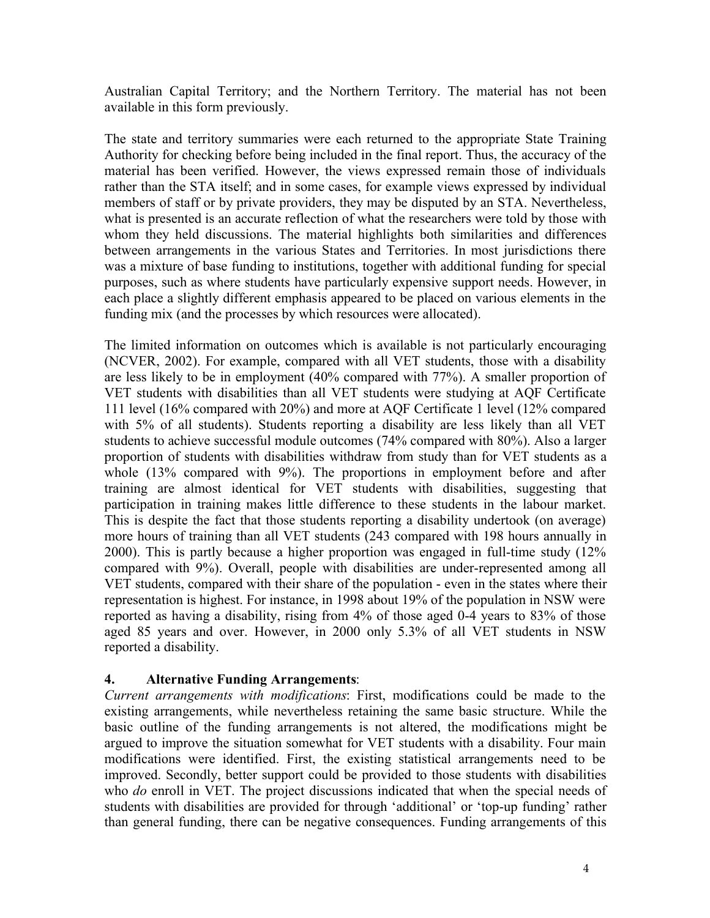Australian Capital Territory; and the Northern Territory. The material has not been available in this form previously.

The state and territory summaries were each returned to the appropriate State Training Authority for checking before being included in the final report. Thus, the accuracy of the material has been verified. However, the views expressed remain those of individuals rather than the STA itself; and in some cases, for example views expressed by individual members of staff or by private providers, they may be disputed by an STA. Nevertheless, what is presented is an accurate reflection of what the researchers were told by those with whom they held discussions. The material highlights both similarities and differences between arrangements in the various States and Territories. In most jurisdictions there was a mixture of base funding to institutions, together with additional funding for special purposes, such as where students have particularly expensive support needs. However, in each place a slightly different emphasis appeared to be placed on various elements in the funding mix (and the processes by which resources were allocated).

The limited information on outcomes which is available is not particularly encouraging (NCVER, 2002). For example, compared with all VET students, those with a disability are less likely to be in employment (40% compared with 77%). A smaller proportion of VET students with disabilities than all VET students were studying at AQF Certificate 111 level (16% compared with 20%) and more at AQF Certificate 1 level (12% compared with 5% of all students). Students reporting a disability are less likely than all VET students to achieve successful module outcomes (74% compared with 80%). Also a larger proportion of students with disabilities withdraw from study than for VET students as a whole (13% compared with 9%). The proportions in employment before and after training are almost identical for VET students with disabilities, suggesting that participation in training makes little difference to these students in the labour market. This is despite the fact that those students reporting a disability undertook (on average) more hours of training than all VET students (243 compared with 198 hours annually in 2000). This is partly because a higher proportion was engaged in full-time study (12% compared with 9%). Overall, people with disabilities are under-represented among all VET students, compared with their share of the population - even in the states where their representation is highest. For instance, in 1998 about 19% of the population in NSW were reported as having a disability, rising from 4% of those aged 0-4 years to 83% of those aged 85 years and over. However, in 2000 only 5.3% of all VET students in NSW reported a disability.

## **4. Alternative Funding Arrangements**:

*Current arrangements with modifications*: First, modifications could be made to the existing arrangements, while nevertheless retaining the same basic structure. While the basic outline of the funding arrangements is not altered, the modifications might be argued to improve the situation somewhat for VET students with a disability. Four main modifications were identified. First, the existing statistical arrangements need to be improved. Secondly, better support could be provided to those students with disabilities who *do* enroll in VET. The project discussions indicated that when the special needs of students with disabilities are provided for through 'additional' or 'top-up funding' rather than general funding, there can be negative consequences. Funding arrangements of this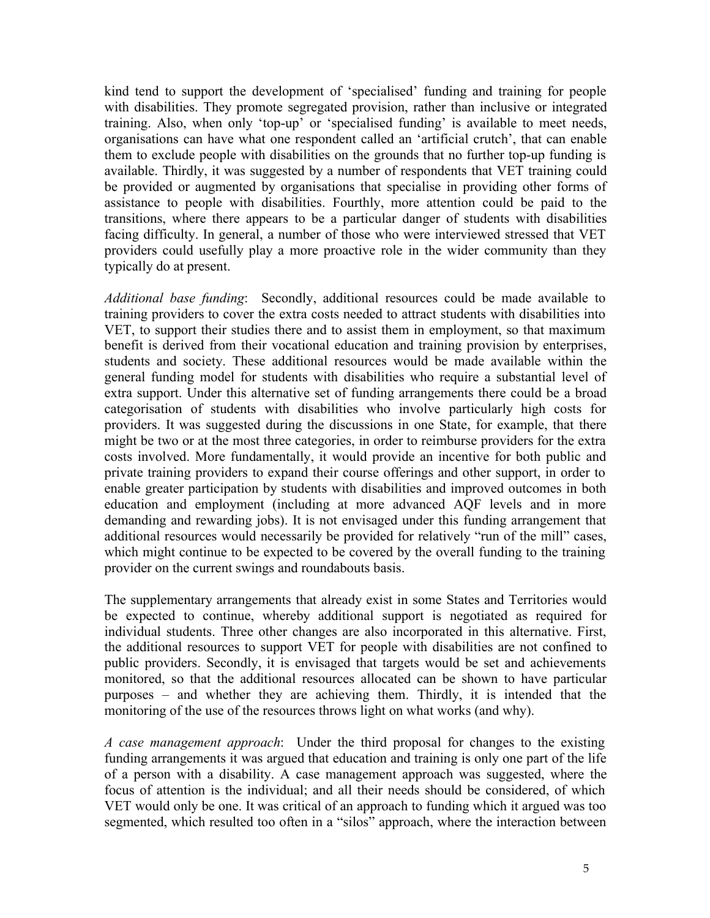kind tend to support the development of 'specialised' funding and training for people with disabilities. They promote segregated provision, rather than inclusive or integrated training. Also, when only 'top-up' or 'specialised funding' is available to meet needs, organisations can have what one respondent called an 'artificial crutch', that can enable them to exclude people with disabilities on the grounds that no further top-up funding is available. Thirdly, it was suggested by a number of respondents that VET training could be provided or augmented by organisations that specialise in providing other forms of assistance to people with disabilities. Fourthly, more attention could be paid to the transitions, where there appears to be a particular danger of students with disabilities facing difficulty. In general, a number of those who were interviewed stressed that VET providers could usefully play a more proactive role in the wider community than they typically do at present.

*Additional base funding*: Secondly, additional resources could be made available to training providers to cover the extra costs needed to attract students with disabilities into VET, to support their studies there and to assist them in employment, so that maximum benefit is derived from their vocational education and training provision by enterprises, students and society. These additional resources would be made available within the general funding model for students with disabilities who require a substantial level of extra support. Under this alternative set of funding arrangements there could be a broad categorisation of students with disabilities who involve particularly high costs for providers. It was suggested during the discussions in one State, for example, that there might be two or at the most three categories, in order to reimburse providers for the extra costs involved. More fundamentally, it would provide an incentive for both public and private training providers to expand their course offerings and other support, in order to enable greater participation by students with disabilities and improved outcomes in both education and employment (including at more advanced AQF levels and in more demanding and rewarding jobs). It is not envisaged under this funding arrangement that additional resources would necessarily be provided for relatively "run of the mill" cases, which might continue to be expected to be covered by the overall funding to the training provider on the current swings and roundabouts basis.

The supplementary arrangements that already exist in some States and Territories would be expected to continue, whereby additional support is negotiated as required for individual students. Three other changes are also incorporated in this alternative. First, the additional resources to support VET for people with disabilities are not confined to public providers. Secondly, it is envisaged that targets would be set and achievements monitored, so that the additional resources allocated can be shown to have particular purposes – and whether they are achieving them. Thirdly, it is intended that the monitoring of the use of the resources throws light on what works (and why).

*A case management approach*: Under the third proposal for changes to the existing funding arrangements it was argued that education and training is only one part of the life of a person with a disability. A case management approach was suggested, where the focus of attention is the individual; and all their needs should be considered, of which VET would only be one. It was critical of an approach to funding which it argued was too segmented, which resulted too often in a "silos" approach, where the interaction between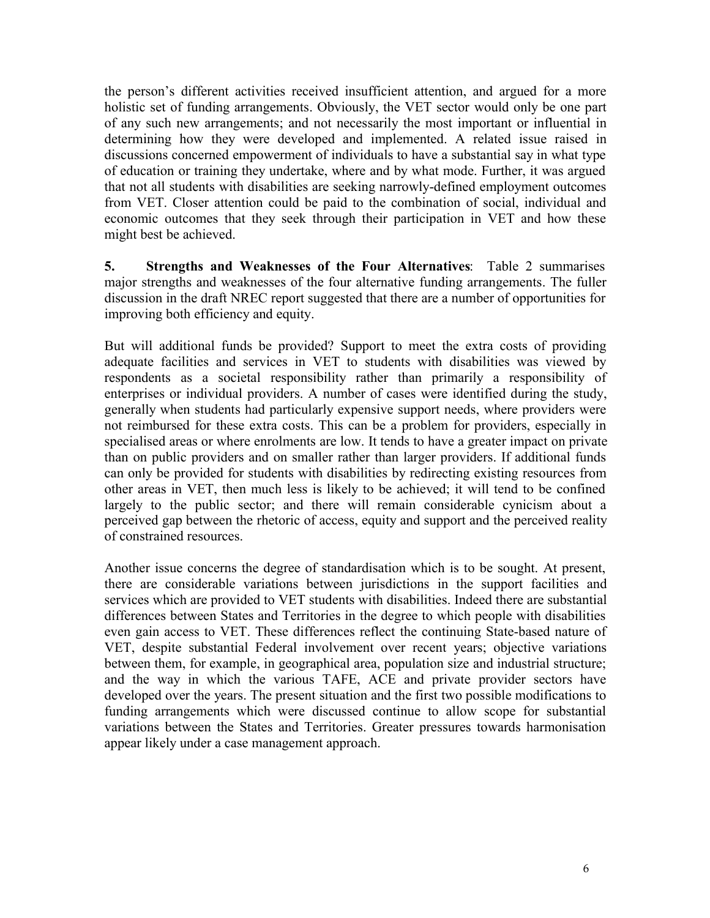the person's different activities received insufficient attention, and argued for a more holistic set of funding arrangements. Obviously, the VET sector would only be one part of any such new arrangements; and not necessarily the most important or influential in determining how they were developed and implemented. A related issue raised in discussions concerned empowerment of individuals to have a substantial say in what type of education or training they undertake, where and by what mode. Further, it was argued that not all students with disabilities are seeking narrowly-defined employment outcomes from VET. Closer attention could be paid to the combination of social, individual and economic outcomes that they seek through their participation in VET and how these might best be achieved.

**5. Strengths and Weaknesses of the Four Alternatives**: Table 2 summarises major strengths and weaknesses of the four alternative funding arrangements. The fuller discussion in the draft NREC report suggested that there are a number of opportunities for improving both efficiency and equity.

But will additional funds be provided? Support to meet the extra costs of providing adequate facilities and services in VET to students with disabilities was viewed by respondents as a societal responsibility rather than primarily a responsibility of enterprises or individual providers. A number of cases were identified during the study, generally when students had particularly expensive support needs, where providers were not reimbursed for these extra costs. This can be a problem for providers, especially in specialised areas or where enrolments are low. It tends to have a greater impact on private than on public providers and on smaller rather than larger providers. If additional funds can only be provided for students with disabilities by redirecting existing resources from other areas in VET, then much less is likely to be achieved; it will tend to be confined largely to the public sector; and there will remain considerable cynicism about a perceived gap between the rhetoric of access, equity and support and the perceived reality of constrained resources.

Another issue concerns the degree of standardisation which is to be sought. At present, there are considerable variations between jurisdictions in the support facilities and services which are provided to VET students with disabilities. Indeed there are substantial differences between States and Territories in the degree to which people with disabilities even gain access to VET. These differences reflect the continuing State-based nature of VET, despite substantial Federal involvement over recent years; objective variations between them, for example, in geographical area, population size and industrial structure; and the way in which the various TAFE, ACE and private provider sectors have developed over the years. The present situation and the first two possible modifications to funding arrangements which were discussed continue to allow scope for substantial variations between the States and Territories. Greater pressures towards harmonisation appear likely under a case management approach.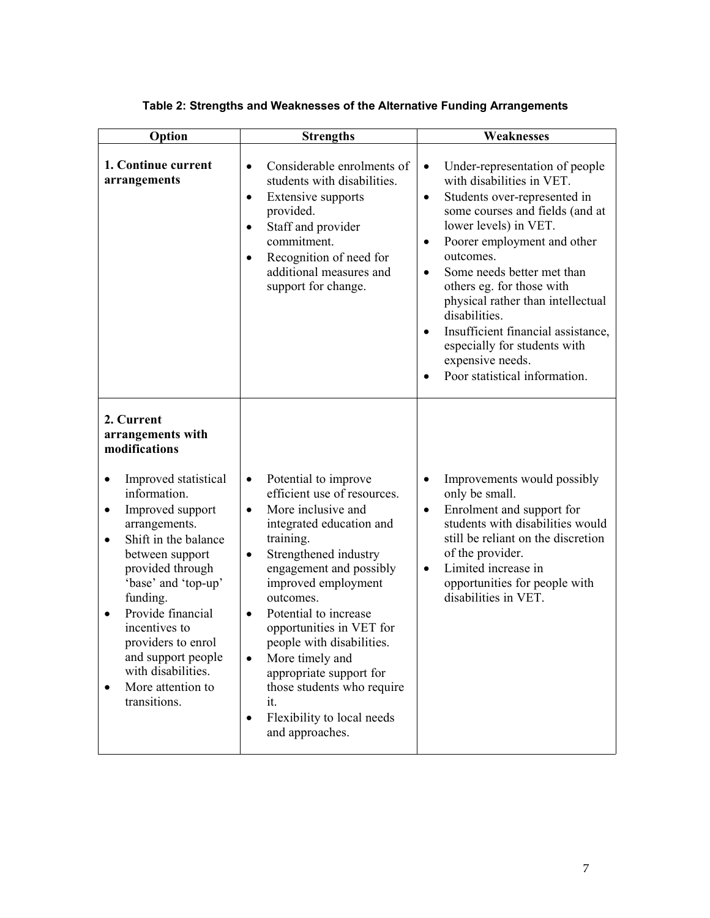| Option                                                                                                                                                                                                                                                                                                                                                                                                           | <b>Strengths</b>                                                                                                                                                                                                                                                                                                                                                                                                                                                                                               | <b>Weaknesses</b>                                                                                                                                                                                                                                                                                                                                                                                                                                                                                        |  |
|------------------------------------------------------------------------------------------------------------------------------------------------------------------------------------------------------------------------------------------------------------------------------------------------------------------------------------------------------------------------------------------------------------------|----------------------------------------------------------------------------------------------------------------------------------------------------------------------------------------------------------------------------------------------------------------------------------------------------------------------------------------------------------------------------------------------------------------------------------------------------------------------------------------------------------------|----------------------------------------------------------------------------------------------------------------------------------------------------------------------------------------------------------------------------------------------------------------------------------------------------------------------------------------------------------------------------------------------------------------------------------------------------------------------------------------------------------|--|
| 1. Continue current<br>arrangements                                                                                                                                                                                                                                                                                                                                                                              | Considerable enrolments of<br>$\bullet$<br>students with disabilities.<br>Extensive supports<br>$\bullet$<br>provided.<br>Staff and provider<br>$\bullet$<br>commitment.<br>Recognition of need for<br>$\bullet$<br>additional measures and<br>support for change.                                                                                                                                                                                                                                             | Under-representation of people<br>$\bullet$<br>with disabilities in VET.<br>Students over-represented in<br>$\bullet$<br>some courses and fields (and at<br>lower levels) in VET.<br>Poorer employment and other<br>٠<br>outcomes.<br>Some needs better met than<br>$\bullet$<br>others eg. for those with<br>physical rather than intellectual<br>disabilities.<br>Insufficient financial assistance,<br>$\bullet$<br>especially for students with<br>expensive needs.<br>Poor statistical information. |  |
| 2. Current<br>arrangements with<br>modifications<br>Improved statistical<br>٠<br>information.<br>Improved support<br>٠<br>arrangements.<br>Shift in the balance<br>$\bullet$<br>between support<br>provided through<br>'base' and 'top-up'<br>funding.<br>Provide financial<br>$\bullet$<br>incentives to<br>providers to enrol<br>and support people<br>with disabilities.<br>More attention to<br>transitions. | Potential to improve<br>$\bullet$<br>efficient use of resources.<br>More inclusive and<br>$\bullet$<br>integrated education and<br>training.<br>Strengthened industry<br>$\bullet$<br>engagement and possibly<br>improved employment<br>outcomes.<br>Potential to increase<br>$\bullet$<br>opportunities in VET for<br>people with disabilities.<br>More timely and<br>$\bullet$<br>appropriate support for<br>those students who require<br>it.<br>Flexibility to local needs<br>$\bullet$<br>and approaches. | Improvements would possibly<br>٠<br>only be small.<br>Enrolment and support for<br>$\bullet$<br>students with disabilities would<br>still be reliant on the discretion<br>of the provider.<br>Limited increase in<br>$\bullet$<br>opportunities for people with<br>disabilities in VET.                                                                                                                                                                                                                  |  |

## **Table 2: Strengths and Weaknesses of the Alternative Funding Arrangements**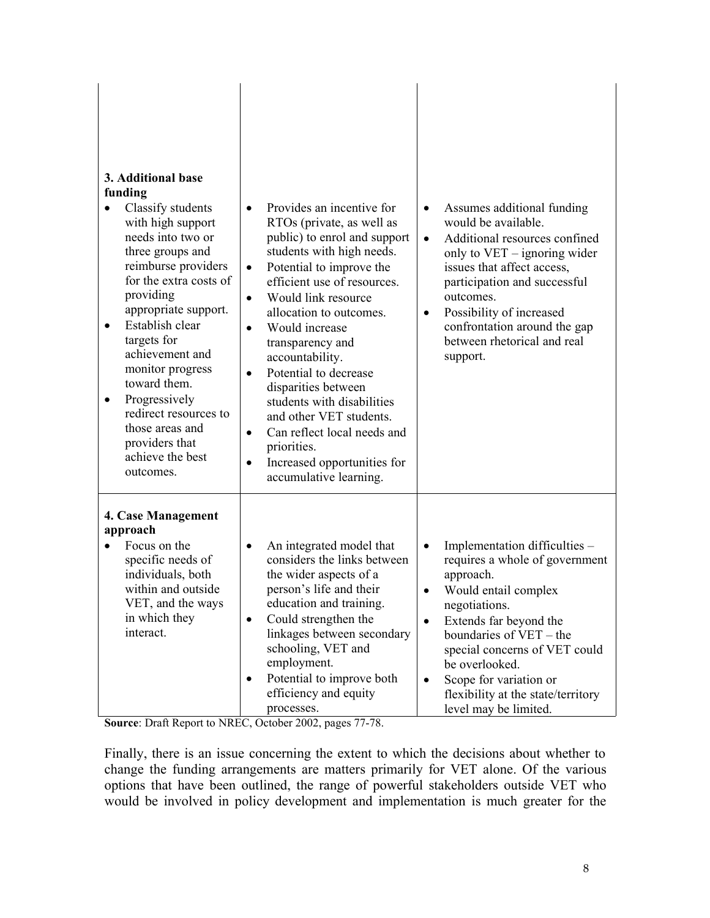|                                                                                                                                                                                | 3. Additional base<br>funding<br>Classify students<br>$\bullet$<br>with high support<br>needs into two or<br>three groups and<br>reimburse providers<br>for the extra costs of<br>providing<br>appropriate support.<br>Establish clear<br>٠<br>targets for<br>achievement and<br>monitor progress<br>toward them.<br>Progressively<br>٠<br>redirect resources to<br>those areas and<br>providers that<br>achieve the best<br>outcomes. | Provides an incentive for<br>$\bullet$<br>RTOs (private, as well as<br>public) to enrol and support<br>students with high needs.<br>Potential to improve the<br>$\bullet$<br>efficient use of resources.<br>Would link resource<br>$\bullet$<br>allocation to outcomes.<br>Would increase<br>$\bullet$<br>transparency and<br>accountability.<br>Potential to decrease<br>$\bullet$<br>disparities between<br>students with disabilities<br>and other VET students.<br>Can reflect local needs and<br>$\bullet$<br>priorities.<br>Increased opportunities for<br>$\bullet$<br>accumulative learning. | Assumes additional funding<br>$\bullet$<br>would be available.<br>Additional resources confined<br>$\bullet$<br>only to $VET$ – ignoring wider<br>issues that affect access,<br>participation and successful<br>outcomes.<br>Possibility of increased<br>$\bullet$<br>confrontation around the gap<br>between rhetorical and real<br>support.                              |
|--------------------------------------------------------------------------------------------------------------------------------------------------------------------------------|----------------------------------------------------------------------------------------------------------------------------------------------------------------------------------------------------------------------------------------------------------------------------------------------------------------------------------------------------------------------------------------------------------------------------------------|------------------------------------------------------------------------------------------------------------------------------------------------------------------------------------------------------------------------------------------------------------------------------------------------------------------------------------------------------------------------------------------------------------------------------------------------------------------------------------------------------------------------------------------------------------------------------------------------------|----------------------------------------------------------------------------------------------------------------------------------------------------------------------------------------------------------------------------------------------------------------------------------------------------------------------------------------------------------------------------|
| 4. Case Management<br>approach<br>Focus on the<br>$\bullet$<br>specific needs of<br>individuals, both<br>within and outside<br>VET, and the ways<br>in which they<br>interact. |                                                                                                                                                                                                                                                                                                                                                                                                                                        | An integrated model that<br>$\bullet$<br>considers the links between<br>the wider aspects of a<br>person's life and their<br>education and training.<br>Could strengthen the<br>$\bullet$<br>linkages between secondary<br>schooling, VET and<br>employment.<br>Potential to improve both<br>$\bullet$<br>efficiency and equity<br>processes.                                                                                                                                                                                                                                                        | Implementation difficulties -<br>$\bullet$<br>requires a whole of government<br>approach.<br>Would entail complex<br>$\bullet$<br>negotiations.<br>Extends far beyond the<br>$\bullet$<br>boundaries of VET – the<br>special concerns of VET could<br>be overlooked.<br>Scope for variation or<br>$\bullet$<br>flexibility at the state/territory<br>level may be limited. |

**Source**: Draft Report to NREC, October 2002, pages 77-78.

Finally, there is an issue concerning the extent to which the decisions about whether to change the funding arrangements are matters primarily for VET alone. Of the various options that have been outlined, the range of powerful stakeholders outside VET who would be involved in policy development and implementation is much greater for the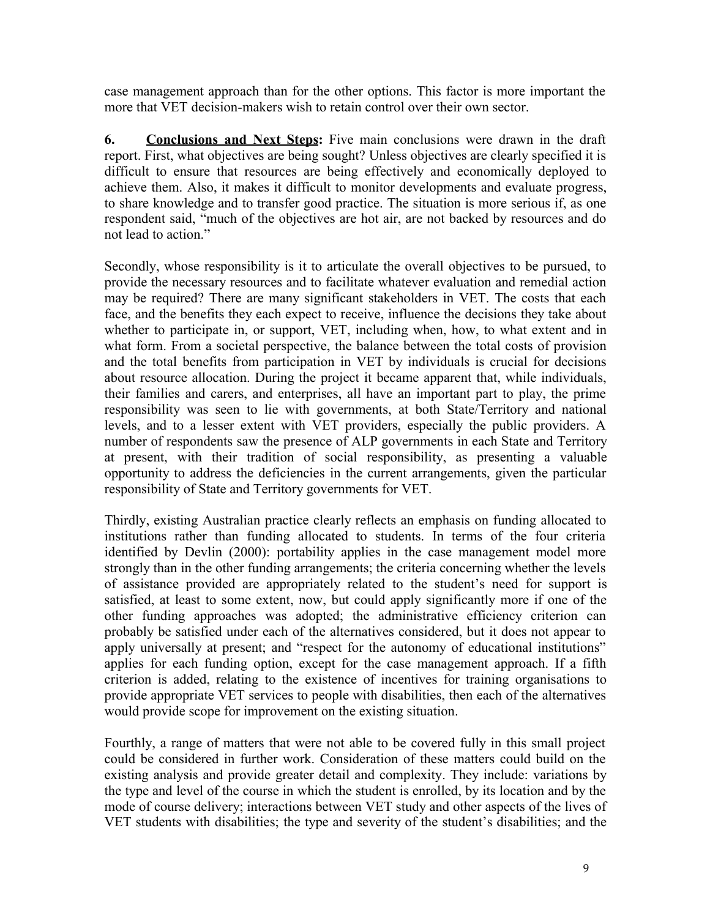case management approach than for the other options. This factor is more important the more that VET decision-makers wish to retain control over their own sector.

**6. Conclusions and Next Steps:** Five main conclusions were drawn in the draft report. First, what objectives are being sought? Unless objectives are clearly specified it is difficult to ensure that resources are being effectively and economically deployed to achieve them. Also, it makes it difficult to monitor developments and evaluate progress, to share knowledge and to transfer good practice. The situation is more serious if, as one respondent said, "much of the objectives are hot air, are not backed by resources and do not lead to action."

Secondly, whose responsibility is it to articulate the overall objectives to be pursued, to provide the necessary resources and to facilitate whatever evaluation and remedial action may be required? There are many significant stakeholders in VET. The costs that each face, and the benefits they each expect to receive, influence the decisions they take about whether to participate in, or support, VET, including when, how, to what extent and in what form. From a societal perspective, the balance between the total costs of provision and the total benefits from participation in VET by individuals is crucial for decisions about resource allocation. During the project it became apparent that, while individuals, their families and carers, and enterprises, all have an important part to play, the prime responsibility was seen to lie with governments, at both State/Territory and national levels, and to a lesser extent with VET providers, especially the public providers. A number of respondents saw the presence of ALP governments in each State and Territory at present, with their tradition of social responsibility, as presenting a valuable opportunity to address the deficiencies in the current arrangements, given the particular responsibility of State and Territory governments for VET.

Thirdly, existing Australian practice clearly reflects an emphasis on funding allocated to institutions rather than funding allocated to students. In terms of the four criteria identified by Devlin (2000): portability applies in the case management model more strongly than in the other funding arrangements; the criteria concerning whether the levels of assistance provided are appropriately related to the student's need for support is satisfied, at least to some extent, now, but could apply significantly more if one of the other funding approaches was adopted; the administrative efficiency criterion can probably be satisfied under each of the alternatives considered, but it does not appear to apply universally at present; and "respect for the autonomy of educational institutions" applies for each funding option, except for the case management approach. If a fifth criterion is added, relating to the existence of incentives for training organisations to provide appropriate VET services to people with disabilities, then each of the alternatives would provide scope for improvement on the existing situation.

Fourthly, a range of matters that were not able to be covered fully in this small project could be considered in further work. Consideration of these matters could build on the existing analysis and provide greater detail and complexity. They include: variations by the type and level of the course in which the student is enrolled, by its location and by the mode of course delivery; interactions between VET study and other aspects of the lives of VET students with disabilities; the type and severity of the student's disabilities; and the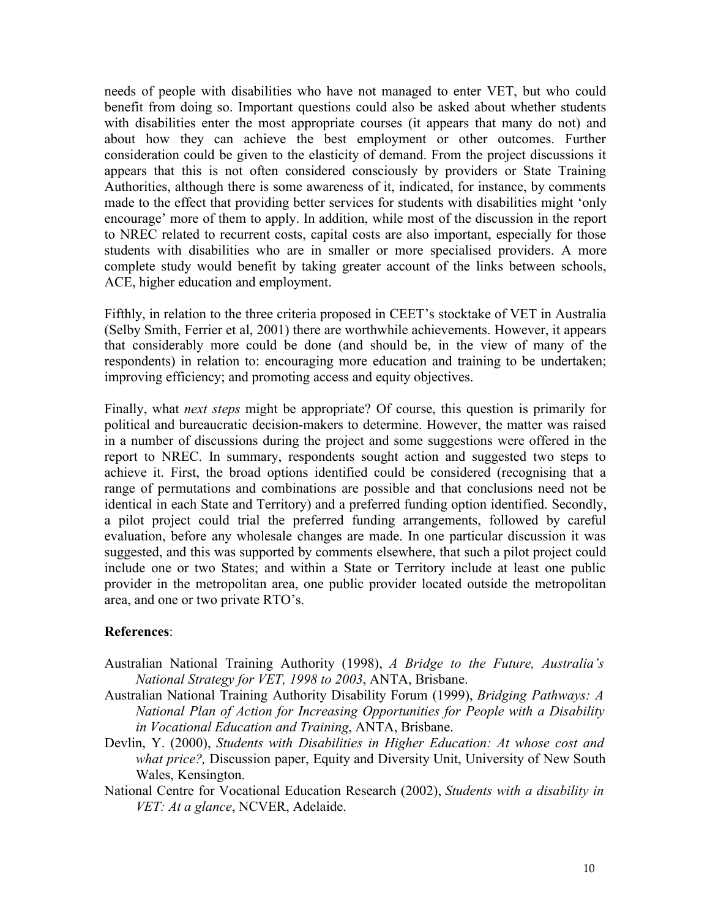needs of people with disabilities who have not managed to enter VET, but who could benefit from doing so. Important questions could also be asked about whether students with disabilities enter the most appropriate courses (it appears that many do not) and about how they can achieve the best employment or other outcomes. Further consideration could be given to the elasticity of demand. From the project discussions it appears that this is not often considered consciously by providers or State Training Authorities, although there is some awareness of it, indicated, for instance, by comments made to the effect that providing better services for students with disabilities might 'only encourage' more of them to apply. In addition, while most of the discussion in the report to NREC related to recurrent costs, capital costs are also important, especially for those students with disabilities who are in smaller or more specialised providers. A more complete study would benefit by taking greater account of the links between schools, ACE, higher education and employment.

Fifthly, in relation to the three criteria proposed in CEET's stocktake of VET in Australia (Selby Smith, Ferrier et al, 2001) there are worthwhile achievements. However, it appears that considerably more could be done (and should be, in the view of many of the respondents) in relation to: encouraging more education and training to be undertaken; improving efficiency; and promoting access and equity objectives.

Finally, what *next steps* might be appropriate? Of course, this question is primarily for political and bureaucratic decision-makers to determine. However, the matter was raised in a number of discussions during the project and some suggestions were offered in the report to NREC. In summary, respondents sought action and suggested two steps to achieve it. First, the broad options identified could be considered (recognising that a range of permutations and combinations are possible and that conclusions need not be identical in each State and Territory) and a preferred funding option identified. Secondly, a pilot project could trial the preferred funding arrangements, followed by careful evaluation, before any wholesale changes are made. In one particular discussion it was suggested, and this was supported by comments elsewhere, that such a pilot project could include one or two States; and within a State or Territory include at least one public provider in the metropolitan area, one public provider located outside the metropolitan area, and one or two private RTO's.

### **References**:

- Australian National Training Authority (1998), *A Bridge to the Future, Australia's National Strategy for VET, 1998 to 2003*, ANTA, Brisbane.
- Australian National Training Authority Disability Forum (1999), *Bridging Pathways: A National Plan of Action for Increasing Opportunities for People with a Disability in Vocational Education and Training*, ANTA, Brisbane.
- Devlin, Y. (2000), *Students with Disabilities in Higher Education: At whose cost and what price?,* Discussion paper, Equity and Diversity Unit, University of New South Wales, Kensington.
- National Centre for Vocational Education Research (2002), *Students with a disability in VET: At a glance*, NCVER, Adelaide.